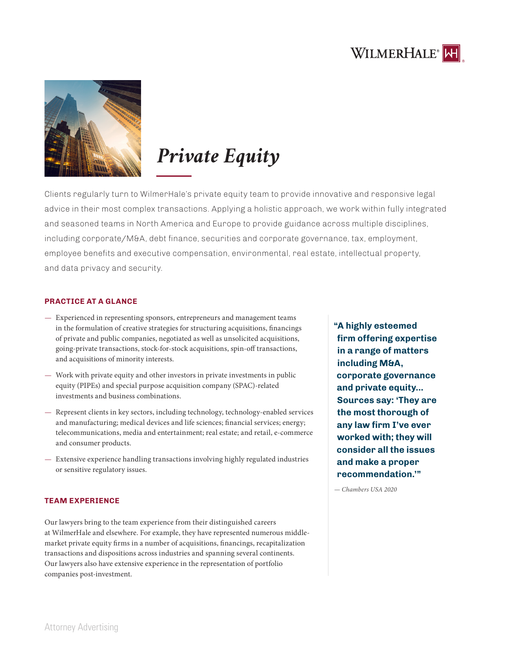



# *Private Equity*

Clients regularly turn to WilmerHale's private equity team to provide innovative and responsive legal advice in their most complex transactions. Applying a holistic approach, we work within fully integrated and seasoned teams in North America and Europe to provide guidance across multiple disciplines, including corporate/M&A, debt finance, securities and corporate governance, tax, employment, employee benefits and executive compensation, environmental, real estate, intellectual property, and data privacy and security.

### **PRACTICE AT A GLANCE**

- Experienced in representing sponsors, entrepreneurs and management teams in the formulation of creative strategies for structuring acquisitions, financings of private and public companies, negotiated as well as unsolicited acquisitions, going-private transactions, stock-for-stock acquisitions, spin-off transactions, and acquisitions of minority interests.
- Work with private equity and other investors in private investments in public equity (PIPEs) and special purpose acquisition company (SPAC)-related investments and business combinations.
- Represent clients in key sectors, including technology, technology-enabled services and manufacturing; medical devices and life sciences; financial services; energy; telecommunications, media and entertainment; real estate; and retail, e-commerce and consumer products.
- Extensive experience handling transactions involving highly regulated industries or sensitive regulatory issues.

#### **TEAM EXPERIENCE**

Our lawyers bring to the team experience from their distinguished careers at WilmerHale and elsewhere. For example, they have represented numerous middlemarket private equity firms in a number of acquisitions, financings, recapitalization transactions and dispositions across industries and spanning several continents. Our lawyers also have extensive experience in the representation of portfolio companies post-investment.

**"A highly esteemed firm offering expertise in a range of matters including M&A, corporate governance and private equity... Sources say: 'They are the most thorough of any law firm I've ever worked with; they will consider all the issues and make a proper recommendation.'"** 

*— Chambers USA 2020*